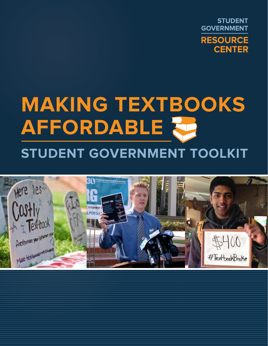**STUDENT GOVERNMENT RESOURCE CENTER** 

# **MAKING TEXTBOOKS AffordaBle Student Government toolkit**

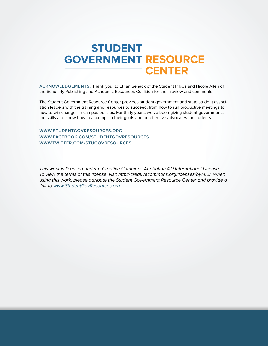# **STUDENT \_\_\_ GOVERNMENT RESOURCE** <sup>-</sup> CENTER

**Acknowledgements:** Thank you to Ethan Senack of the Student PIRGs and Nicole Allen of the Scholarly Publishing and Academic Resources Coalition for their review and comments.

The Student Government Resource Center provides student government and state student association leaders with the training and resources to succeed, from how to run productive meetings to how to win changes in campus policies. For thirty years, we've been giving student governments the skills and know-how to accomplish their goals and be effective advocates for students.

#### **<www.StudentGovResources.org> <www.facebook.com/StudentGovResources> <www.twitter.com/StuGovResources>**

This work is licensed under a Creative Commons Attribution 4.0 International License. To view the terms of this license, visit http://creativecommons.org/licenses/by/4.0/. When using this work, please attribute the Student Government Resource Center and provide a link to [www.StudentGovResources.org.](http://www.StudentGovResources.org)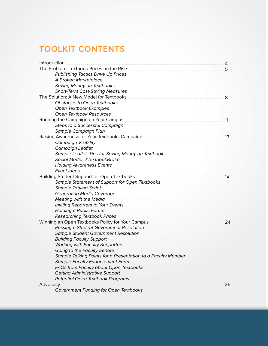### **Toolkit contents**

| Introduction                                                 | 4  |
|--------------------------------------------------------------|----|
| The Problem: Textbook Prices on the Rise                     | 5  |
| <b>Publishing Tactics Drive Up Prices</b>                    |    |
| A Broken Marketplace                                         |    |
| <b>Saving Money on Textbooks</b>                             |    |
| <b>Short-Term Cost-Saving Measures</b>                       |    |
| The Solution: A New Model for Textbooks                      | 8  |
| Obstacles to Open Textbooks                                  |    |
| Open Textbook Examples                                       |    |
| Open Textbook Resources                                      |    |
|                                                              | 11 |
| Steps to a Successful Campaign                               |    |
| Sample Campaign Plan                                         |    |
|                                                              | 13 |
| <b>Campaign Visibility</b>                                   |    |
| Campaign Leaflet                                             |    |
| Sample Leaflet: Tips for Saving Money on Textbooks           |    |
| Social Media: #TextbookBroke                                 |    |
| <b>Holding Awareness Events</b>                              |    |
| <b>Event Ideas</b>                                           |    |
| <b>Building Student Support for Open Textbooks</b>           | 19 |
| Sample Statement of Support for Open Textbooks               |    |
| <b>Sample Tabling Script</b>                                 |    |
| <b>Generating Media Coverage</b>                             |    |
| <b>Meeting with the Media</b>                                |    |
| <b>Inviting Reporters to Your Events</b>                     |    |
| <b>Holding a Public Forum</b>                                |    |
| <b>Researching Textbook Prices</b>                           |    |
| Winning an Open Textbooks Policy for Your Campus             | 24 |
| Passing a Student Government Resolution                      |    |
| <b>Sample Student Government Resolution</b>                  |    |
| <b>Building Faculty Support</b>                              |    |
| <b>Working with Faculty Supporters</b>                       |    |
| Going to the Faculty Senate                                  |    |
| Sample Talking Points for a Presentation to a Faculty Member |    |
| <b>Sample Faculty Endorsement Form</b>                       |    |
| FAQs from Faculty about Open Textbooks                       |    |
| <b>Getting Administrative Support</b>                        |    |
| <b>Potential Open Textbook Programs</b>                      |    |
| Advocacy                                                     | 35 |
| Government Funding for Open Textbooks                        |    |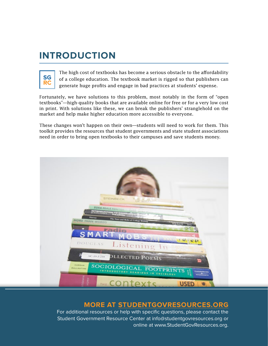# **Introduction**



The high cost of textbooks has become a serious obstacle to the affordability of a college education. The textbook market is rigged so that publishers can generate huge profits and engage in bad practices at students' expense.

Fortunately, we have solutions to this problem, most notably in the form of "open textbooks"—high-quality books that are available online for free or for a very low cost in print. With solutions like these, we can break the publishers' stranglehold on the market and help make higher education more accessible to everyone.

These changes won't happen on their own—students will need to work for them. This toolkit provides the resources that student governments and state student associations need in order to bring open textbooks to their campuses and save students money.



### **More at <StudentGovResources.org>**

For additional resources or help with specific questions, please contact the Student Government Resource Center at [info@studentgovresources.org](mailto:info@studentgovresources.org) or online at<www.StudentGovResources.org>.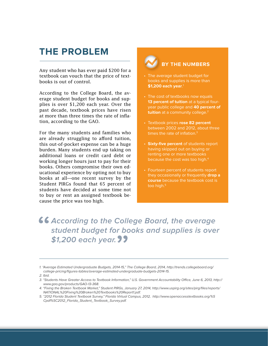### **The Problem**

Any student who has ever paid \$200 for a textbook can vouch that the price of textbooks is out of control.

According to the College Board, the average student budget for books and supplies is over \$1,200 each year. Over the past decade, textbook prices have risen at more than three times the rate of inflation, according to the GAO.

For the many students and families who are already struggling to afford tuition, this out-of-pocket expense can be a huge burden. Many students end up taking on additional loans or credit card debt or working longer hours just to pay for their books. Others compromise their own educational experience by opting not to buy books at all—one recent survey by the Student PIRGs found that 65 percent of students have decided at some time not to buy or rent an assigned textbook because the price was too high.

### **by the numbers**

- The average student budget for books and supplies is more than **\$1,200 each year**. 1
- The cost of textbooks now equals **13 percent of tuition** at a typical fouryear public college and **40 percent of tuition** at a community college.<sup>2</sup>
- • Textbook prices **rose 82 percent**  between 2002 and 2012, about three times the rate of inflation.<sup>3</sup>
- • **Sixty-five percent** of students report having skipped out on buying or renting one or more textbooks because the cost was too high.<sup>4</sup>
- Fourteen percent of students report they occasionally or frequently **drop a course** because the textbook cost is too high.<sup>5</sup>

### **46 According to the College Board, the average student budget for books and supplies is over \$1,200 each year.**

5. "2012 Florida Student Textbook Survey," Florida Virtual Campus, 2012, [http://www.openaccesstextbooks.org/](http://www.openaccesstextbooks.org)%5 Cpdf%[5C2012\\_Florida\\_Student\\_Textbook\\_Survey.pdf](5C2012_Florida_Student_Textbook_Survey.pdf).

<sup>1. &</sup>quot;Average Estimated Undergraduate Budgets, 2014-15," The College Board, 2014, [http://trends.collegeboard.org/](http://trends.collegeboard.org/college-pricing/figures-tables/average) [college-pricing/figures-tables/average-](http://trends.collegeboard.org/college-pricing/figures-tables/average)estimated-undergraduate-budgets-2014-15.

<sup>2.</sup> Ibid.

<sup>3. &</sup>quot;Students Have Greater Access to Textbook Information," U.S. Government Accountability Office, June 6, 2013, [http://](http://www.gao.gov/products/GAO) [www.gao.gov/products/GAO-](http://www.gao.gov/products/GAO)13-368.

<sup>4. &</sup>quot;Fixing the Broken Textbook Market," Student PIRGs, January 27, 2014, [http://www.uspirg.org/sites/pirg/files/reports/](http://www.uspirg.org/sites/pirg/files/reports/NATIONAL) [NATIONAL%](http://www.uspirg.org/sites/pirg/files/reports/NATIONAL)20Fixing%20Broken%20Textbooks[%20Report1.pdf.](20Report1.pdf)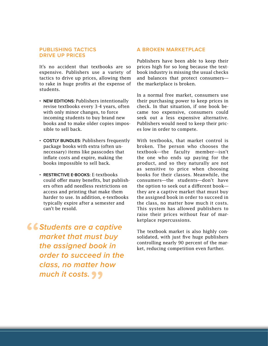#### **Publishing Tactics Drive Up Prices**

It's no accident that textbooks are so expensive. Publishers use a variety of tactics to drive up prices, allowing them to rake in huge profits at the expense of students.

- **New Editions:** Publishers intentionally revise textbooks every 3-4 years, often with only minor changes, to force incoming students to buy brand new books and to make older copies impossible to sell back.
- **Costly Bundles:** Publishers frequently package books with extra (often unnecessary) items like passcodes that inflate costs and expire, making the books impossible to sell back.
- **• Restrictive e-Books:** E-textbooks could offer many benefits, but publishers often add needless restrictions on access and printing that make them harder to use. In addition, e-textbooks typically expire after a semester and can't be resold.

*SStudents are a captive* **market that must buy the assigned book in order to succeed in the class, no matter how much it costs.**

#### **A Broken Marketplace**

Publishers have been able to keep their prices high for so long because the textbook industry is missing the usual checks and balances that protect consumers the marketplace is broken.

In a normal free market, consumers use their purchasing power to keep prices in check. In that situation, if one book became too expensive, consumers could seek out a less expensive alternative. Publishers would need to keep their prices low in order to compete.

With textbooks, that market control is broken. The person who chooses the textbook—the faculty member—isn't the one who ends up paying for the product, and so they naturally are not as sensitive to price when choosing books for their classes. Meanwhile, the consumers—the students—don't have the option to seek out a different book they are a captive market that must buy the assigned book in order to succeed in the class, no matter how much it costs. This system has allowed publishers to raise their prices without fear of marketplace repercussions.

The textbook market is also highly consolidated, with just five huge publishers controlling nearly 90 percent of the market, reducing competition even further.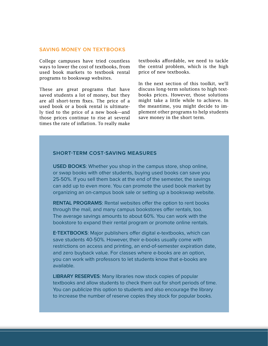#### **Saving money on textbooks**

College campuses have tried countless ways to lower the cost of textbooks, from used book markets to textbook rental programs to bookswap websites.

These are great programs that have saved students a lot of money, but they are all short-term fixes. The price of a used book or a book rental is ultimately tied to the price of a new book—and those prices continue to rise at several times the rate of inflation. To really make textbooks affordable, we need to tackle the central problem, which is the high price of new textbooks.

In the next section of this toolkit, we'll discuss long-term solutions to high textbooks prices. However, those solutions might take a little while to achieve. In the meantime, you might decide to implement other programs to help students save money in the short term.

#### **Short-term Cost-Saving Measures**

**USED BOOKS:** Whether you shop in the campus store, shop online, or swap books with other students, buying used books can save you 25-50%. If you sell them back at the end of the semester, the savings can add up to even more. You can promote the used book market by organizing an on-campus book sale or setting up a bookswap website.

**RENTAL PROGRAMS:** Rental websites offer the option to rent books through the mail, and many campus bookstores offer rentals, too. The average savings amounts to about 60%. You can work with the bookstore to expand their rental program or promote online rentals.

**E-TEXTBOOKS:** Major publishers offer digital e-textbooks, which can save students 40-50%. However, their e-books usually come with restrictions on access and printing, an end-of-semester expiration date, and zero buyback value. For classes where e-books are an option, you can work with professors to let students know that e-books are available.

**Library Reserves**: Many libraries now stock copies of popular textbooks and allow students to check them out for short periods of time. You can publicize this option to students and also encourage the library to increase the number of reserve copies they stock for popular books.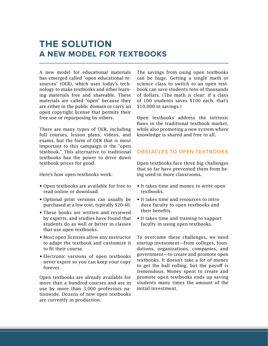### **The solution A new model for textbooks**

A new model for educational materials has emerged called "open educational resources" (OER), which uses today's technology to make textbooks and other learning materials free and shareable. These materials are called "open" because they are either in the public domain or carry an open copyright license that permits their free use or repurposing by others.

There are many types of OER, including full courses, lesson plans, videos, and exams, but the form of OER that is most important to this campaign is the "open textbook." This alternative to traditional textbooks has the power to drive down textbook prices for good.

Here's how open textbooks work:

- • Open textbooks are available for free to read online or download.
- • Optional print versions can usually be purchased at a low cost, typically \$20-40.
- These books are written and reviewed by experts, and studies have found that students do as well or better in classes that use open textbooks.
- Most open licenses allow any instructor to adapt the textbook and customize it to fit their course.
- Electronic versions of open textbooks never expire so you can keep your copy forever.

Open textbooks are already available for more than a hundred courses and are in use by more than 3,000 professors nationwide. Dozens of new open textbooks are currently in production.

The savings from using open textbooks can be huge. Getting a single math or science class to switch to an open textbook can save students tens of thousands of dollars. (The math is clear: if a class of 100 students saves \$100 each, that's \$10,000 in savings.)

Open textbooks address the intrinsic flaws in the traditional textbook market, while also promoting a new system where knowledge is shared and free to all.

#### **Obstacles to Open Textbooks**

Open textbooks face three big challenges that so far have prevented them from being used in more classrooms.

- It takes time and money to write open textbooks.
- It takes time and resources to introduce faculty to open textbooks and their benefits.
- It takes time and training to support faculty in using open textbooks.

To overcome these challenges, we need startup investment—from colleges, foundations, organizations, companies, and government—to create and promote open textbooks. It doesn't take a lot of money to get the ball rolling, but the payoff is tremendous. Money spent to create and promote open textbooks ends up saving students many times the amount of the initial investment.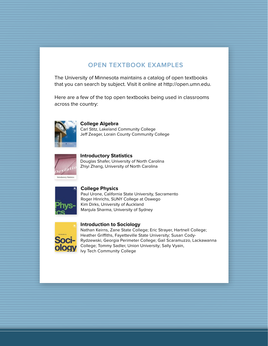### **OPEN TEXTBOOK EXAMPLES**

The University of Minnesota maintains a catalog of open textbooks that you can search by subject. Visit it online at [http://open.umn.edu.](http://open.umn.edu)

Here are a few of the top open textbooks being used in classrooms across the country:



**College Algebra** Carl Stitz, Lakeland Community College Jeff Zeager, Lorain County Community College



**Introductory Statistics** Douglas Shafer, University of North Carolina Zhiyi Zhang, University of North Carolina



**College Physics**

Paul Urone, California State University, Sacramento Roger Hinrichs, SUNY College at Oswego Kim Dirks, University of Auckland Manjula Sharma, University of Sydney



**Introduction to Sociology**

Nathan Keirns, Zane State College; Eric Strayer, Hartnell College; Heather Griffiths, Fayetteville State University; Susan Cody-Rydzewski, Georgia Perimeter College; Gail Scaramuzzo, Lackawanna College; Tommy Sadler, Union University; Sally Vyain, Ivy Tech Community College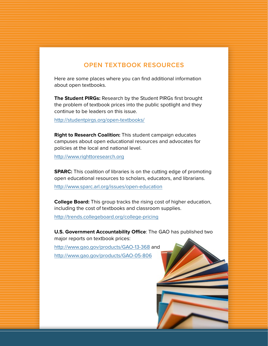### **open textbook RESOURCES**

Here are some places where you can find additional information about open textbooks.

**The Student PIRGs:** Research by the Student PIRGs first brought the problem of textbook prices into the public spotlight and they continue to be leaders on this issue.

[http://studentpirgs.org/open](http://studentpirgs.org/open-textbooks)-textbooks/

**Right to Research Coalition:** This student campaign educates campuses about open educational resources and advocates for policies at the local and national level.

<http://www.righttoresearch.org>

**SPARC:** This coalition of libraries is on the cutting edge of promoting open educational resources to scholars, educators, and librarians.

[http://www.sparc.arl.org/issues/open](http://www.sparc.arl.org/issues/open-education)-education

**College Board:** This group tracks the rising cost of higher education, including the cost of textbooks and classroom supplies.

[http://trends.collegeboard.org/college-](http://trends.collegeboard.org/college-pricing)pricing

**U.S. Government Accountability Office**: The GAO has published two major reports on textbook prices:

[http://www.gao.gov/products/GAO-](http://www.gao.gov/products/GAO-13-368)13-368 and [http://www.gao.gov/products/GAO-](http://www.gao.gov/products/GAO-05-806)05-806

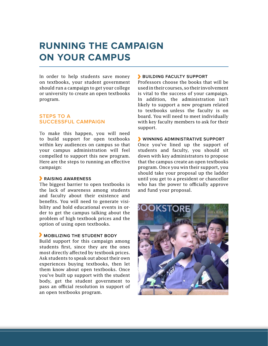# **Running the Campaign on Your Campus**

In order to help students save money on textbooks, your student government should run a campaign to get your college or university to create an open textbooks program.

#### **Steps to a Successful Campaign**

To make this happen, you will need to build support for open textbooks within key audiences on campus so that your campus administration will feel compelled to support this new program. Here are the steps to running an effective campaign:

#### **Raising Awareness**

The biggest barrier to open textbooks is the lack of awareness among students and faculty about their existence and benefits. You will need to generate visibility and hold educational events in order to get the campus talking about the problem of high textbook prices and the option of using open textbooks.

#### **Mobilizing the Student Body**

Build support for this campaign among students first, since they are the ones most directly affected by textbook prices. Ask students to speak out about their own experiences buying textbooks, then let them know about open textbooks. Once you've built up support with the student body, get the student government to pass an official resolution in support of an open textbooks program.

#### **Building Faculty Support**

Professors choose the books that will be used in their courses, so their involvement is vital to the success of your campaign. In addition, the administration isn't likely to support a new program related to textbooks unless the faculty is on board. You will need to meet individually with key faculty members to ask for their support.

#### **Winning Administrative Support**

Once you've lined up the support of students and faculty, you should sit down with key administrators to propose that the campus create an open textbooks program. Once you win their support, you should take your proposal up the ladder until you get to a president or chancellor who has the power to officially approve and fund your proposal.

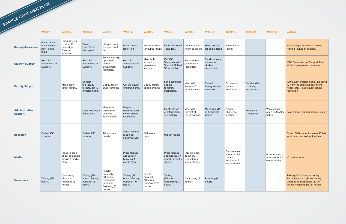|                                         | Week 1                                                | Week 2                                                              | Week 3                                                     | Week 4                                                                                    | Week 5                                                      | Week 6                                                         | Week 7                                                                         | Week 8                                      | Week 9                                               | Week 10                                                                     | Week 11                                  | Week 12                                             | <b>GOALS</b>                                                                                                                             |
|-----------------------------------------|-------------------------------------------------------|---------------------------------------------------------------------|------------------------------------------------------------|-------------------------------------------------------------------------------------------|-------------------------------------------------------------|----------------------------------------------------------------|--------------------------------------------------------------------------------|---------------------------------------------|------------------------------------------------------|-----------------------------------------------------------------------------|------------------------------------------|-----------------------------------------------------|------------------------------------------------------------------------------------------------------------------------------------------|
| <b>Raising Awareness</b>                | Event: "How<br>much did you<br>pay?" selfie<br>table. | Hang posters<br>to kick off<br>campaign<br>& recruit<br>volunteers. | Event:<br><b>Used Book</b><br>Graveyard.                   | Hang posters<br>for open book<br>fair.                                                    | Event: Open<br>Book Fair.                                   | Invite speakers<br>for public forum.                           | Event: Textbook<br>Taste Test.                                                 | Confirm public<br>forum speakers.           | Hang posters<br>for public forum. Forum.             | Event: Public                                                               |                                          |                                                     | Hold 5 major awareness events.<br>Hang 3 rounds of posters.                                                                              |
| <b>Student Support</b>                  | <b>Get 250</b><br>Statements of<br>Support.           |                                                                     | <b>Get 250</b><br>Statements of<br>Support.                | Send campaign<br>update to<br>student<br>government<br>members.                           | Get 250<br>Statements of<br>Support.                        | Meet with<br>student<br>government<br>leaders.                 | <b>Get 250</b><br>Statements of<br>Support. Submit<br>SG resolution.           | Pass student<br>government<br>resolution.   | Send campaign<br>update to<br>student<br>supporters. |                                                                             |                                          |                                                     | 1000 Statements of Support. Pass<br>student government resolution.                                                                       |
| <b>Faculty Support</b>                  |                                                       | Make list of<br>target faculty.                                     | Contact<br>top faculty<br>targets, get 10<br>endorsements. | Get 30 faculty<br>endorsements.                                                           | Get 30 faculty<br>endorsements.                             | Get 30 faculty<br>endorsements.                                | Send campaign<br>update<br>to faculty<br>supporters.                           | Meet with<br>leaders of<br>faculty senate.  | Submit<br>faculty senate<br>resolution.              | Pass faculty<br>senate<br>resolution.                                       | Send update<br>to faculty<br>supporters. |                                                     | 100 faculty endorsements, including<br>10 from top targets (department<br>heads, etc.). Pass faculty senate<br>resolution.               |
| <b>Administrative</b><br><b>Support</b> |                                                       |                                                                     | Meet with Dean<br>of Libraries.                            | Meet with<br>Director of<br>Learning<br>Technology.                                       | Request<br>meetings with<br>senior admin,<br>Chancellor.    |                                                                | Meet with VP<br>of Information<br>Technology.                                  | Meet with<br>Provost of<br>Faculty Affairs. | Meet with VP<br>of Academic<br>Affairs.              | Prep for<br>Chancellor<br>meeting.                                          | Meet with<br>Chancellor.                 | Win campus<br>open textbooks<br>policy.             | Pass campus open textbooks policy.                                                                                                       |
| <b>Research</b>                         | Collect 250<br>surveys.                               |                                                                     | Collect 250<br>surveys.                                    | Tally survey<br>results.                                                                  | Write research<br>report on<br>survey results.              | Edit research<br>report.                                       | Publish report.                                                                |                                             |                                                      |                                                                             |                                          |                                                     | Collect 500 student surveys. Publish<br>local report on textbook prices.                                                                 |
| <b>Media</b>                            |                                                       | Press release<br>about campaign<br>kickoff, 1 media<br>story.       |                                                            |                                                                                           | Press release<br>about open<br>book fair, 1<br>media story. |                                                                | Press release<br>about research<br>report, 2 media   resolution, 2<br>stories. | Press release<br>about SG<br>media stories. |                                                      | Press release<br>about faculty<br>senate<br>resolution, 2<br>media stories. |                                          | Press release<br>about victory, 2<br>media stories. | 10 media stories.                                                                                                                        |
| <b>Volunteers</b>                       | Tabling (25<br>hours).                                | Databasing<br>(5 hours).<br>Postering (5<br>hours).                 | Tabling (25<br>hours). Faculty<br>outreach (3<br>hours).   | Faculty<br>outreach<br>(10 hours).<br>Databasing<br>(5 hours).<br>Postering (5<br>hours). | Tabling (25<br>hours). Faculty<br>outreach (10<br>hours).   | Faculty<br>outreach<br>(10 hours).<br>Databasing (5<br>hours). | Tabling<br>(25 hours).<br>Databasing (2<br>hours).                             | Databasing (5<br>hours).                    | Postering (5<br>hours).                              |                                                                             |                                          |                                                     | Tabling (100 volunteer hours).<br>Faculty outreach (33 vol hours).<br>Databasing supporters (22 vol<br>hours). Postering (15 vol hours). |

**SAMPLE CAMPAIGN PLAN**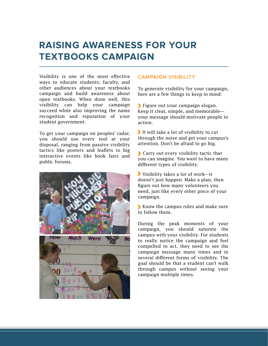# **Raising Awareness for Your Textbooks Campaign**

Visibility is one of the most effective ways to educate students, faculty, and other audiences about your textbooks campaign and build awareness about open textbooks. When done well, this visibility can help your campaign succeed while also improving the name recognition and reputation of your student government.

To get your campaign on peoples' radar, you should use every tool at your disposal, ranging from passive visibility tactics like posters and leaflets to big interactive events like book fairs and public forums.



#### **Campaign Visibility**

To generate visibility for your campaign, here are a few things to keep in mind:

Figure out your campaign slogan. Keep it clear, simple, and memorable your message should motivate people to action.

It will take a lot of visibility to cut through the noise and get your campus's attention. Don't be afraid to go big.

Carry out every visibility tactic that you can imagine. You want to have many different types of visibility.

Visibility takes a lot of work—it doesn't just happen. Make a plan, then figure out how many volunteers you need, just like every other piece of your campaign.

Know the campus rules and make sure to follow them.

During the peak moments of your campaign, you should saturate the campus with your visibility. For students to really notice the campaign and feel compelled to act, they need to see the campaign message many times and in several different forms of visibility. The goal should be that a student can't walk through campus without seeing your campaign multiple times.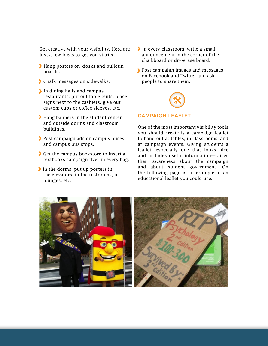Get creative with your visibility. Here are just a few ideas to get you started:

- Hang posters on kiosks and bulletin boards.
- Chalk messages on sidewalks.
- In dining halls and campus restaurants, put out table tents, place signs next to the cashiers, give out custom cups or coffee sleeves, etc.
- Hang banners in the student center and outside dorms and classroom buildings.
- Post campaign ads on campus buses and campus bus stops.
- Get the campus bookstore to insert a textbooks campaign flyer in every bag.
- In the dorms, put up posters in the elevators, in the restrooms, in lounges, etc.
- In every classroom, write a small announcement in the corner of the chalkboard or dry-erase board.
- **Post campaign images and messages** on Facebook and Twitter and ask people to share them.



#### **Campaign Leaflet**

One of the most important visibility tools you should create is a campaign leaflet to hand out at tables, in classrooms, and at campaign events. Giving students a leaflet—especially one that looks nice and includes useful information—raises their awareness about the campaign and about student government. On the following page is an example of an educational leaflet you could use.

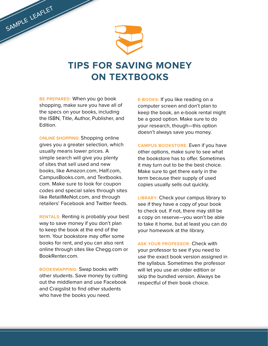

# **Tips for Saving Money ON TEXTBOOKS**

**Be Prepared:** When you go book shopping, make sure you have all of the specs on your books, including the ISBN, Title, Author, Publisher, and Edition.

SAMPLE LEAFLET

**Online Shopping:** Shopping online gives you a greater selection, which usually means lower prices. A simple search will give you plenty of sites that sell used and new books, like [Amazon.com,](Amazon.com) <Half.com>, <CampusBooks.com>, and [Textbooks.](Textbooks.com) [com.](Textbooks.com) Make sure to look for coupon codes and special sales through sites like <RetailMeNot.com>, and through retailers' Facebook and Twitter feeds.

**Rentals:** Renting is probably your best way to save money if you don't plan to keep the book at the end of the term. Your bookstore may offer some books for rent, and you can also rent online through sites like<Chegg.com>or <BookRenter.com>.

**Bookswapping:** Swap books with other students. Save money by cutting out the middleman and use Facebook and Craigslist to find other students who have the books you need.

**E-books:** If you like reading on a computer screen and don't plan to keep the book, an e-book rental might be a good option. Make sure to do your research, though—this option doesn't always save you money.

**Campus Bookstore:** Even if you have other options, make sure to see what the bookstore has to offer. Sometimes it may turn out to be the best choice. Make sure to get there early in the term because their supply of used copies usually sells out quickly.

**Library:** Check your campus library to see if they have a copy of your book to check out. If not, there may still be a copy on reserve—you won't be able to take it home, but at least you can do your homework at the library.

**Ask Your Professor:** Check with your professor to see if you need to use the exact book version assigned in the syllabus. Sometimes the professor will let you use an older edition or skip the bundled version. Always be respectful of their book choice.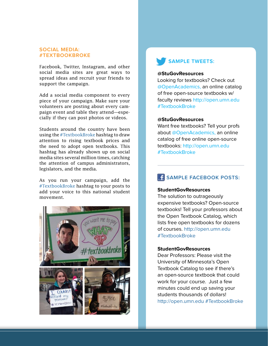#### **Social Media: #TextbookBroke**

Facebook, Twitter, Instagram, and other social media sites are great ways to spread ideas and recruit your friends to support the campaign.

Add a social media component to every piece of your campaign. Make sure your volunteers are posting about every campaign event and table they attend—especially if they can post photos or videos.

Students around the country have been using the #TextbookBroke hashtag to draw attention to rising textbook prices and the need to adopt open textbooks. This hashtag has already shown up on social media sites several million times, catching the attention of campus administrators, legislators, and the media.

As you run your campaign, add the #TextbookBroke hashtag to your posts to add your voice to this national student movement.



### **Sample Tweets:**

#### **@StuGovResources**

Looking for textbooks? Check out @OpenAcademics, an online catalog of free open-source textbooks w/ faculty reviews<http://open.umn.edu> #TextbookBroke

#### **@StuGovResources**

Want free textbooks? Tell your profs about @OpenAcademics, an online catalog of free online open-source textbooks: <http://open.umn.edu> #TextbookBroke

### **SAMPLE FACEBOOK POSTS:**

#### **StudentGovResources**

The solution to outrageously expensive textbooks? Open-source textbooks! Tell your professors about the Open Textbook Catalog, which lists free open textbooks for dozens of courses. <http://open.umn.edu> #TextbookBroke

#### **StudentGovResources**

Dear Professors: Please visit the University of Minnesota's Open Textbook Catalog to see if there's an open-source textbook that could work for your course. Just a few minutes could end up saving your students thousands of dollars! <http://open.umn.edu> #TextbookBroke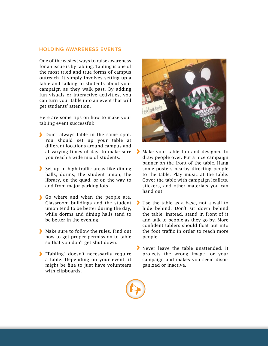#### **Holding Awareness Events**

One of the easiest ways to raise awareness for an issue is by tabling. Tabling is one of the most tried and true forms of campus outreach. It simply involves setting up a table and talking to students about your campaign as they walk past. By adding fun visuals or interactive activities, you can turn your table into an event that will get students' attention.

Here are some tips on how to make your tabling event successful:

- Don't always table in the same spot. You should set up your table at different locations around campus and at varying times of day, to make sure you reach a wide mix of students.
- Set up in high-traffic areas like dining halls, dorms, the student union, the library, on the quad, or on the way to and from major parking lots.
- Go where and when the people are. Classroom buildings and the student union tend to be better during the day, while dorms and dining halls tend to be better in the evening.
- Make sure to follow the rules. Find out how to get proper permission to table so that you don't get shut down.
- Tabling" doesn't necessarily require a table. Depending on your event, it might be fine to just have volunteers with clipboards.



- Make your table fun and designed to draw people over. Put a nice campaign banner on the front of the table. Hang some posters nearby directing people to the table. Play music at the table. Cover the table with campaign leaflets, stickers, and other materials you can hand out.
- Use the table as a base, not a wall to hide behind. Don't sit down behind the table. Instead, stand in front of it and talk to people as they go by. More confident tablers should float out into the foot traffic in order to reach more people.
- Never leave the table unattended. It projects the wrong image for your campaign and makes you seem disorganized or inactive.

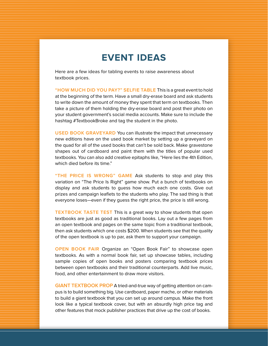# **Event Ideas**

Here are a few ideas for tabling events to raise awareness about textbook prices.

**"How Much Did You Pay?" Selfie Table** This is a great event to hold at the beginning of the term. Have a small dry-erase board and ask students to write down the amount of money they spent that term on textbooks. Then take a picture of them holding the dry-erase board and post their photo on your student government's social media accounts. Make sure to include the hashtag #TextbookBroke and tag the student in the photo.

**USED BOOK GRAVEYARD** You can illustrate the impact that unnecessary new editions have on the used book market by setting up a graveyard on the quad for all of the used books that can't be sold back. Make gravestone shapes out of cardboard and paint them with the titles of popular used textbooks. You can also add creative epitaphs like, "Here lies the 4th Edition, which died before its time."

**"The Price Is Wrong" Game** Ask students to stop and play this variation on "The Price Is Right" game show. Put a bunch of textbooks on display and ask students to guess how much each one costs. Give out prizes and campaign leaflets to the students who play. The sad thing is that everyone loses—even if they guess the right price, the price is still wrong.

**TEXTBOOK TASTE TEST** This is a great way to show students that open textbooks are just as good as traditional books. Lay out a few pages from an open textbook and pages on the same topic from a traditional textbook, then ask students which one costs \$200. When students see that the quality of the open textbook is up to par, ask them to support your campaign.

**Open Book Fair** Organize an "Open Book Fair" to showcase open textbooks. As with a normal book fair, set up showcase tables, including sample copies of open books and posters comparing textbook prices between open textbooks and their traditional counterparts. Add live music, food, and other entertainment to draw more visitors.

**GIANT TEXTBOOK PROP** A tried-and-true way of getting attention on campus is to build something big. Use cardboard, paper mache, or other materials to build a giant textbook that you can set up around campus. Make the front look like a typical textbook cover, but with an absurdly high price tag and other features that mock publisher practices that drive up the cost of books.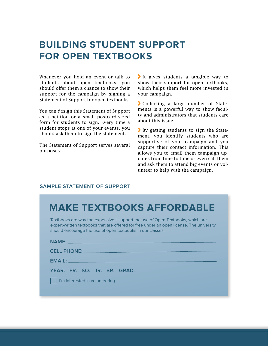# **Building Student Support for Open Textbooks**

Whenever you hold an event or talk to students about open textbooks, you should offer them a chance to show their support for the campaign by signing a Statement of Support for open textbooks.

You can design this Statement of Support as a petition or a small postcard-sized form for students to sign. Every time a student stops at one of your events, you should ask them to sign the statement.

The Statement of Support serves several purposes:

It gives students a tangible way to show their support for open textbooks, which helps them feel more invested in your campaign.

Collecting a large number of Statements is a powerful way to show faculty and administrators that students care about this issue.

By getting students to sign the Statement, you identify students who are supportive of your campaign and you capture their contact information. This allows you to email them campaign updates from time to time or even call them and ask them to attend big events or volunteer to help with the campaign.

#### **Sample statement of support**

|  | <b>MAKE TEXTBOOKS AFFORDABLE</b> |
|--|----------------------------------|
|  |                                  |

Textbooks are way too expensive. I support the use of Open Textbooks, which are expert-written textbooks that are offered for free under an open license. The university should encourage the use of open textbooks in our classes.

**Name:**

**Cell phone:**

**Email:**

**year: Fr. so. jr. sr. grad.**

I'm interested in volunteering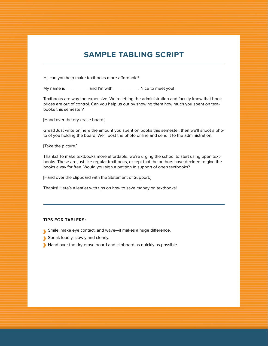### **Sample Tabling Script**

Hi, can you help make textbooks more affordable?

My name is \_\_\_\_\_\_\_\_\_\_\_ and I'm with \_\_\_\_\_\_\_\_\_\_\_\_. Nice to meet you!

Textbooks are way too expensive. We're letting the administration and faculty know that book prices are out of control. Can you help us out by showing them how much you spent on textbooks this semester?

[Hand over the dry-erase board.]

Great! Just write on here the amount you spent on books this semester, then we'll shoot a photo of you holding the board. We'll post the photo online and send it to the administration.

[Take the picture.]

Thanks! To make textbooks more affordable, we're urging the school to start using open textbooks. These are just like regular textbooks, except that the authors have decided to give the books away for free. Would you sign a petition in support of open textbooks?

[Hand over the clipboard with the Statement of Support.]

Thanks! Here's a leaflet with tips on how to save money on textbooks!

#### **Tips for tablers:**

- Smile, make eye contact, and wave—it makes a huge difference.
- Speak loudly, slowly and clearly.
- Hand over the dry-erase board and clipboard as quickly as possible.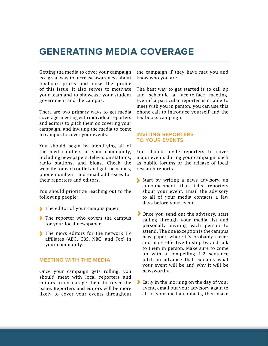### **Generating Media Coverage**

Getting the media to cover your campaign is a great way to increase awareness about textbook prices and raise the profile of this issue. It also serves to motivate your team and to showcase your student government and the campus.

There are two primary ways to get media coverage: meeting with individual reporters and editors to pitch them on covering your campaign, and inviting the media to come to campus to cover your events.

You should begin by identifying all of the media outlets in your community, including newspapers, television stations, radio stations, and blogs. Check the website for each outlet and get the names, phone numbers, and email addresses for their reporters and editors.

You should prioritize reaching out to the following people:

- The editor of your campus paper.
- The reporter who covers the campus for your local newspaper.
- The news editors for the network TV affiliates (ABC, CBS, NBC, and Fox) in your community.

#### **Meeting with the Media**

Once your campaign gets rolling, you should meet with local reporters and editors to encourage them to cover the issue. Reporters and editors will be more likely to cover your events throughout the campaign if they have met you and know who you are.

The best way to get started is to call up and schedule a face-to-face meeting. Even if a particular reporter isn't able to meet with you in person, you can use this phone call to introduce yourself and the textbooks campaign.

#### **Inviting Reporters to Your Events**

You should invite reporters to cover major events during your campaign, such as public forums or the release of local research reports.

- Start by writing a news advisory, an announcement that tells reporters about your event. Email the advisory to all of your media contacts a few days before your event.
- If Once you send out the advisory, start calling through your media list and personally inviting each person to attend. The one exception is the campus newspaper, where it's probably easier and more effective to stop by and talk to them in person. Make sure to come up with a compelling 1-2 sentence pitch in advance that explains what your event will be and why it will be newsworthy.
- Early in the morning on the day of your event, email out your advisory again to all of your media contacts, then make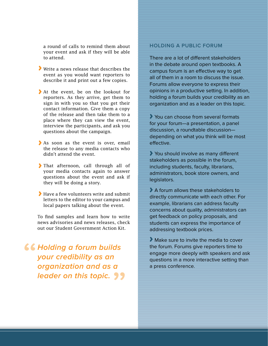a round of calls to remind them about your event and ask if they will be able to attend.

- Write a news release that describes the event as you would want reporters to describe it and print out a few copies.
- At the event, be on the lookout for reporters. As they arrive, get them to sign in with you so that you get their contact information. Give them a copy of the release and then take them to a place where they can view the event, interview the participants, and ask you questions about the campaign.
- As soon as the event is over, email the release to any media contacts who didn't attend the event.
- That afternoon, call through all of your media contacts again to answer questions about the event and ask if they will be doing a story.
- Have a few volunteers write and submit letters to the editor to your campus and local papers talking about the event.

To find samples and learn how to write news advisories and news releases, check out our Student Government Action Kit.

**K& Holding a forum builds your credibility as an organization and as a leader on this topic.**

#### **Holding a Public Forum**

There are a lot of different stakeholders in the debate around open textbooks. A campus forum is an effective way to get all of them in a room to discuss the issue. Forums allow everyone to express their opinions in a productive setting. In addition, holding a forum builds your credibility as an organization and as a leader on this topic.

You can choose from several formats for your forum—a presentation, a panel discussion, a roundtable discussion depending on what you think will be most effective.

You should involve as many different stakeholders as possible in the forum, including students, faculty, librarians, administrators, book store owners, and legislators.

A forum allows these stakeholders to directly communicate with each other. For example, librarians can address faculty concerns about quality, administrators can get feedback on policy proposals, and students can express the importance of addressing textbook prices.

Make sure to invite the media to cover the forum. Forums give reporters time to engage more deeply with speakers and ask questions in a more interactive setting than a press conference.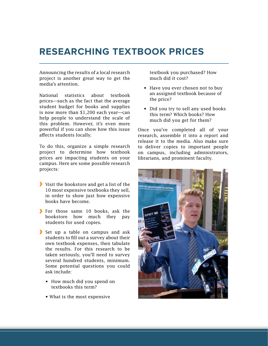### **Researching Textbook Prices**

Announcing the results of a local research project is another great way to get the media's attention.

National statistics about textbook prices—such as the fact that the average student budget for books and supplies is now more than \$1,200 each year—can help people to understand the scale of this problem. However, it's even more powerful if you can show how this issue affects students locally.

To do this, organize a simple research project to determine how textbook prices are impacting students on your campus. Here are some possible research projects:

- If Visit the bookstore and get a list of the 10 most expensive textbooks they sell, in order to show just how expensive books have become.
- For those same 10 books, ask the bookstore how much they pay students for used copies.
- Set up a table on campus and ask students to fill out a survey about their own textbook expenses, then tabulate the results. For this research to be taken seriously, you'll need to survey several hundred students, minimum. Some potential questions you could ask include:
	- How much did you spend on textbooks this term?
	- What is the most expensive

textbook you purchased? How much did it cost?

- Have you ever chosen not to buy an assigned textbook because of the price?
- Did you try to sell any used books this term? Which books? How much did you get for them?

Once you've completed all of your research, assemble it into a report and release it to the media. Also make sure to deliver copies to important people on campus, including administrators, librarians, and prominent faculty.

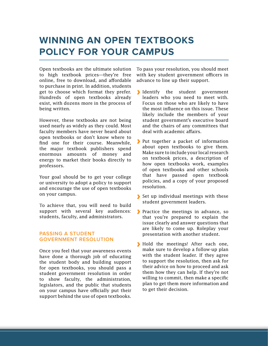# **Winning an Open Textbooks Policy for Your Campus**

Open textbooks are the ultimate solution to high textbook prices—they're free online, free to download, and affordable to purchase in print. In addition, students get to choose which format they prefer. Hundreds of open textbooks already exist, with dozens more in the process of being written.

However, these textbooks are not being used nearly as widely as they could. Most faculty members have never heard about open textbooks or don't know where to find one for their course. Meanwhile, the major textbook publishers spend enormous amounts of money and energy to market their books directly to professors.

Your goal should be to get your college or university to adopt a policy to support and encourage the use of open textbooks on your campus.

To achieve that, you will need to build support with several key audiences: students, faculty, and administrators.

#### **Passing a Student Government Resolution**

Once you feel that your awareness events have done a thorough job of educating the student body and building support for open textbooks, you should pass a student government resolution in order to show faculty, the administration, legislators, and the public that students on your campus have officially put their support behind the use of open textbooks.

To pass your resolution, you should meet with key student government officers in advance to line up their support.

- Identify the student government leaders who you need to meet with. Focus on those who are likely to have the most influence on this issue. These likely include the members of your student government's executive board and the chairs of any committees that deal with academic affairs.
- Put together a packet of information about open textbooks to give them. Make sure to include your local research on textbook prices, a description of how open textbooks work, examples of open textbooks and other schools that have passed open textbook policies, and a copy of your proposed resolution.
- Set up individual meetings with these student government leaders.
- Practice the meetings in advance, so that you're prepared to explain the issue clearly and answer questions that are likely to come up. Roleplay your presentation with another student.
- Hold the meetings! After each one, make sure to develop a follow-up plan with the student leader. If they agree to support the resolution, then ask for their advice on how to proceed and ask them how they can help. If they're not willing to commit, then make a specific plan to get them more information and to get their decision.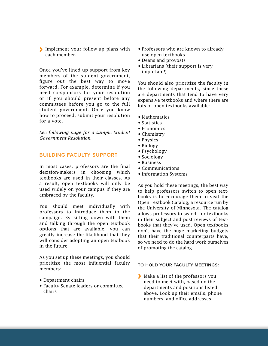Implement your follow-up plans with each member.

Once you've lined up support from key members of the student government, figure out the best way to move forward. For example, determine if you need co-sponsors for your resolution or if you should present before any committees before you go to the full student government. Once you know how to proceed, submit your resolution for a vote.

*See following page for a sample Student Government Resolution.*

#### **Building Faculty Support**

In most cases, professors are the final decision-makers in choosing which textbooks are used in their classes. As a result, open textbooks will only be used widely on your campus if they are embraced by the faculty.

You should meet individually with professors to introduce them to the campaign. By sitting down with them and talking through the open textbook options that are available, you can greatly increase the likelihood that they will consider adopting an open textbook in the future.

As you set up these meetings, you should prioritize the most influential faculty members:

- Department chairs
- • Faculty Senate leaders or committee chairs
- Professors who are known to already use open textbooks
- • Deans and provosts
- Librarians (their support is very important!)

You should also prioritize the faculty in the following departments, since these are departments that tend to have very expensive textbooks and where there are lots of open textbooks available:

- Mathematics
- Statistics
- Economics
- Chemistry
- Physics
- Biology
- Psychology
- • Sociology
- • Business
- • Communications
- Information Systems

As you hold these meetings, the best way to help professors switch to open textbooks is to encourage them to visit the Open Textbook Catalog, a resource run by the University of Minnesota. The catalog allows professors to search for textbooks in their subject and post reviews of textbooks that they've used. Open textbooks don't have the huge marketing budgets that their traditional counterparts have, so we need to do the hard work ourselves of promoting the catalog.

#### **To hold your faculty meetings:**

Make a list of the professors you need to meet with, based on the departments and positions listed above. Look up their emails, phone numbers, and office addresses.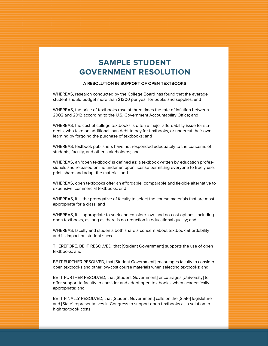### **Sample Student Government Resolution**

#### **A Resolution in Support of Open Textbooks**

WHEREAS, research conducted by the College Board has found that the average student should budget more than \$1200 per year for books and supplies; and

WHEREAS, the price of textbooks rose at three times the rate of inflation between 2002 and 2012 according to the U.S. Government Accountability Office; and

WHEREAS, the cost of college textbooks is often a major affordability issue for students, who take on additional loan debt to pay for textbooks, or undercut their own learning by forgoing the purchase of textbooks; and

WHEREAS, textbook publishers have not responded adequately to the concerns of students, faculty, and other stakeholders; and

WHEREAS, an 'open textbook' is defined as: a textbook written by education professionals and released online under an open license permitting everyone to freely use, print, share and adapt the material; and

WHEREAS, open textbooks offer an affordable, comparable and flexible alternative to expensive, commercial textbooks; and

WHEREAS, it is the prerogative of faculty to select the course materials that are most appropriate for a class; and

WHEREAS, it is appropriate to seek and consider low- and no-cost options, including open textbooks, as long as there is no reduction in educational quality; and

WHEREAS, faculty and students both share a concern about textbook affordability and its impact on student success;

THEREFORE, BE IT RESOLVED, that [Student Government] supports the use of open textbooks; and

BE IT FURTHER RESOLVED, that [Student Government] encourages faculty to consider open textbooks and other low-cost course materials when selecting textbooks; and

BE IT FURTHER RESOLVED, that [Student Government] encourages [University] to offer support to faculty to consider and adopt open textbooks, when academically appropriate; and

BE IT FINALLY RESOLVED, that [Student Government] calls on the [State] legislature and [State] representatives in Congress to support open textbooks as a solution to high textbook costs.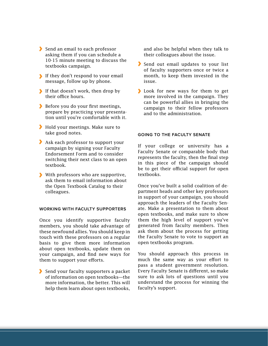- Send an email to each professor asking them if you can schedule a 10-15 minute meeting to discuss the textbooks campaign.
- If they don't respond to your email message, follow up by phone.
- If that doesn't work, then drop by their office hours.
- Before you do your first meetings, prepare by practicing your presentation until you're comfortable with it.
- Hold your meetings. Make sure to take good notes.
- Ask each professor to support your campaign by signing your Faculty Endorsement Form and to consider switching their next class to an open textbook.
- With professors who are supportive, ask them to email information about the Open Textbook Catalog to their colleagues.

#### **Working with Faculty Supporters**

Once you identify supportive faculty members, you should take advantage of these newfound allies. You should keep in touch with these professors on a regular basis to give them more information about open textbooks, update them on your campaign, and find new ways for them to support your efforts.

Send your faculty supporters a packet of information on open textbooks—the more information, the better. This will help them learn about open textbooks,

and also be helpful when they talk to their colleagues about the issue.

- Send out email updates to your list of faculty supporters once or twice a month, to keep them invested in the issue.
- **Look** for new ways for them to get more involved in the campaign. They can be powerful allies in bringing the campaign to their fellow professors and to the administration.

#### **Going to the Faculty Senate**

If your college or university has a Faculty Senate or comparable body that represents the faculty, then the final step in this piece of the campaign should be to get their official support for open textbooks.

Once you've built a solid coalition of department heads and other key professors in support of your campaign, you should approach the leaders of the Faculty Senate. Make a presentation to them about open textbooks, and make sure to show them the high level of support you've generated from faculty members. Then ask them about the process for getting the Faculty Senate to vote to support an open textbooks program.

You should approach this process in much the same way as your effort to pass a student government resolution. Every Faculty Senate is different, so make sure to ask lots of questions until you understand the process for winning the faculty's support.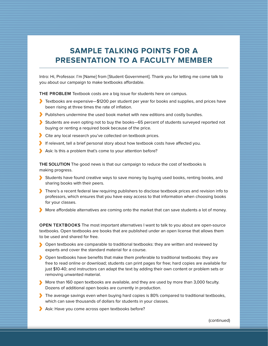### **Sample Talking Points for a Presentation to a Faculty Member**

Intro: Hi, Professor. I'm [Name] from [Student Government]. Thank you for letting me come talk to you about our campaign to make textbooks affordable.

THE PROBLEM Textbook costs are a big issue for students here on campus.

- Textbooks are expensive—\$1200 per student per year for books and supplies, and prices have been rising at three times the rate of inflation.
- **Publishers undermine the used book market with new editions and costly bundles.**
- Students are even opting not to buy the books—65 percent of students surveyed reported not buying or renting a required book because of the price.
- Cite any local research you've collected on textbook prices.
- If relevant, tell a brief personal story about how textbook costs have affected you.
- Ask: Is this a problem that's come to your attention before?

**THE SOLUTION** The good news is that our campaign to reduce the cost of textbooks is making progress.

- Students have found creative ways to save money by buying used books, renting books, and sharing books with their peers.
- There's a recent federal law requiring publishers to disclose textbook prices and revision info to professors, which ensures that you have easy access to that information when choosing books for your classes.
- More affordable alternatives are coming onto the market that can save students a lot of money.

**OPEN TEXTBOOKS** The most important alternatives I want to talk to you about are open-source textbooks. Open textbooks are books that are published under an open license that allows them to be used and shared for free.

- **Open textbooks are comparable to traditional textbooks: they are written and reviewed by** experts and cover the standard material for a course.
- Open textbooks have benefits that make them preferable to traditional textbooks: they are free to read online or download; students can print pages for free; hard copies are available for just \$10-40; and instructors can adapt the text by adding their own content or problem sets or removing unwanted material.
- More than 160 open textbooks are available, and they are used by more than 3,000 faculty. Dozens of additional open books are currently in production.
- The average savings even when buying hard copies is 80% compared to traditional textbooks, which can save thousands of dollars for students in your classes.
- Ask: Have you come across open textbooks before?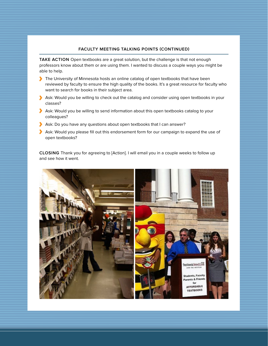#### **faculty meeting Talking points (continued)**

TAKE ACTION Open textbooks are a great solution, but the challenge is that not enough professors know about them or are using them. I wanted to discuss a couple ways you might be able to help.

- The University of Minnesota hosts an online catalog of open textbooks that have been reviewed by faculty to ensure the high quality of the books. It's a great resource for faculty who want to search for books in their subject area.
- Ask: Would you be willing to check out the catalog and consider using open textbooks in your classes?
- Ask: Would you be willing to send information about this open textbooks catalog to your colleagues?
- Ask: Do you have any questions about open textbooks that I can answer?
- Ask: Would you please fill out this endorsement form for our campaign to expand the use of open textbooks?

**Closing** Thank you for agreeing to [Action]. I will email you in a couple weeks to follow up and see how it went.

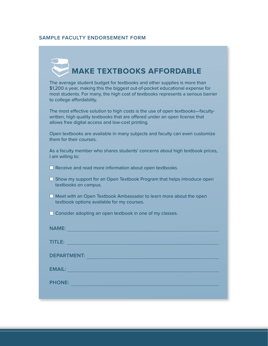#### **Sample faculty Endorsement form**

# **Make Textbooks Affordable**

The average student budget for textbooks and other supplies is more than \$1,200 a year, making this the biggest out-of-pocket educational expense for most students. For many, the high cost of textbooks represents a serious barrier to college affordability.

The most effective solution to high costs is the use of open textbooks—facultywritten, high quality textbooks that are offered under an open license that allows free digital access and low-cost printing.

Open textbooks are available in many subjects and faculty can even customize them for their courses.

As a faculty member who shares students' concerns about high textbook prices, I am willing to:

 $\Box$  Receive and read more information about open textbooks.

 $\Box$  Show my support for an Open Textbook Program that helps introduce open textbooks on campus.

 $\Box$  Meet with an Open Textbook Ambassador to learn more about the open textbook options available for my courses.

 $\Box$  Consider adopting an open textbook in one of my classes.

| <b>NAME:</b>       |  |
|--------------------|--|
| TITLE:             |  |
| <b>DEPARTMENT:</b> |  |
| <b>EMAIL:</b>      |  |
| <b>PHONE:</b>      |  |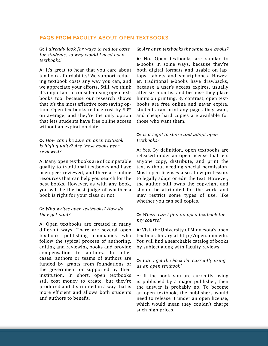#### **FAQs from Faculty about Open Textbooks**

**Q:** *I already look for ways to reduce costs for students, so why would I need open textbooks?*

**A:** It's great to hear that you care about textbook affordability! We support reducing textbook costs any way you can, and we appreciate your efforts. Still, we think it's important to consider using open textbooks too, because our research shows that it's the most effective cost-saving option. Open textbooks reduce cost by 80% on average, and they're the only option that lets students have free online access without an expiration date.

#### **Q:** *How can I be sure an open textbook is high quality? Are these books peer reviewed?*

**A:** Many open textbooks are of comparable quality to traditional textbooks and have been peer reviewed, and there are online resources that can help you search for the best books. However, as with any book, you will be the best judge of whether a book is right for your class or not.

#### **Q:** *Who writes open textbooks? How do they get paid?*

**A:** Open textbooks are created in many different ways. There are several open textbook publishing companies who follow the typical process of authoring, editing and reviewing books and provide compensation to authors. In other cases, authors or teams of authors are funded by grants from foundations or the government or supported by their institution. In short, open textbooks still cost money to create, but they're produced and distributed in a way that is more efficient and allows both students and authors to benefit.

#### **Q:** *Are open textbooks the same as e-books?*

**A:** No. Open textbooks are similar to e-books in some ways, because they're both digital formats and usable on laptops, tablets and smartphones. However, traditional e-books have drawbacks, because a user's access expires, usually after six months, and because they place limits on printing. By contrast, open textbooks are free online and never expire, students can print any pages they want, and cheap hard copies are available for those who want them.

#### **Q:** *Is it legal to share and adapt open textbooks?*

**A:** Yes. By definition, open textbooks are released under an open license that lets anyone copy, distribute, and print the text without needing special permission. Most open licenses also allow professors to legally adapt or edit the text. However, the author still owns the copyright and should be attributed for the work, and may restrict some types of use, like whether you can sell copies.

#### **Q:** *Where can I find an open textbook for my course?*

**A:** Visit the University of Minnesota's open textbook library at [http://open.umn.edu.](http://open.umn.edu) You will find a searchable catalog of books by subject along with faculty reviews.

#### **Q:** *Can I get the book I'm currently using as an open textbook?*

A: If the book you are currently using is published by a major publisher, then the answer is probably no. To become an open textbook, the publishers would need to release it under an open license, which would mean they couldn't charge such high prices.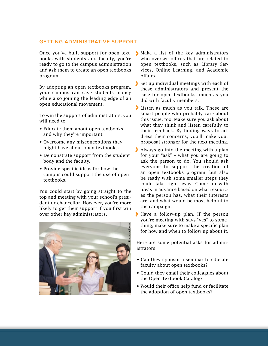#### **Getting Administrative Support**

books with students and faculty, you're ready to go to the campus administration and ask them to create an open textbooks program.

By adopting an open textbooks program, your campus can save students money while also joining the leading edge of an open educational movement.

To win the support of administrators, you will need to:

- Educate them about open textbooks and why they're important.
- Overcome any misconceptions they might have about open textbooks.
- Demonstrate support from the student body and the faculty.
- Provide specific ideas for how the campus could support the use of open textbooks.

You could start by going straight to the top and meeting with your school's president or chancellor. However, you're more likely to get their support if you first win over other key administrators.



- Once you've built support for open text-Make a list of the key administrators who oversee offices that are related to open textbooks, such as Library Services, Online Learning, and Academic Affairs.
	- Set up individual meetings with each of these administrators and present the case for open textbooks, much as you did with faculty members.
	- Listen as much as you talk. These are smart people who probably care about this issue, too. Make sure you ask about what they think and listen carefully to their feedback. By finding ways to address their concerns, you'll make your proposal stronger for the next meeting.
	- Always go into the meeting with a plan for your "ask" – what you are going to ask the person to do. You should ask everyone to support the creation of an open textbooks program, but also be ready with some smaller steps they could take right away. Come up with ideas in advance based on what resources the person has, what their interests are, and what would be most helpful to the campaign.
	- Have a follow-up plan. If the person you're meeting with says "yes" to something, make sure to make a specific plan for how and when to follow up about it.

Here are some potential asks for administrators:

- Can they sponsor a seminar to educate faculty about open textbooks?
- Could they email their colleagues about the Open Textbook Catalog?
- Would their office help fund or facilitate the adoption of open textbooks?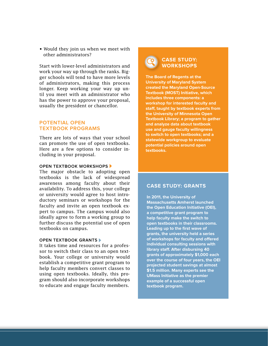• Would they join us when we meet with other administrators?

Start with lower-level administrators and work your way up through the ranks. Bigger schools will tend to have more levels of administrators, making this process longer. Keep working your way up until you meet with an administrator who has the power to approve your proposal, usually the president or chancellor.

#### **Potential Open Textbook Programs**

There are lots of ways that your school can promote the use of open textbooks. Here are a few options to consider including in your proposal.

#### **OPEN TEXTBOOK WORKSHOPS**

The major obstacle to adopting open textbooks is the lack of widespread awareness among faculty about their availability. To address this, your college or university would agree to host introductory seminars or workshops for the faculty and invite an open textbook expert to campus. The campus would also ideally agree to form a working group to further discuss the potential use of open textbooks on campus.

#### **OPEN TEXTBOOK GRANTS**

It takes time and resources for a professor to switch their class to an open textbook. Your college or university would establish a competitive grant program to help faculty members convert classes to using open textbooks. Ideally, this program should also incorporate workshops to educate and engage faculty members.



**The Board of Regents at the University of Maryland System created the Maryland Open-Source Textbook (MOST) Initiative, which includes three components: a workshop for interested faculty and staff, taught by textbook experts from the University of Minnesota Open Textbook Library; a program to gather and analyze data about textbook use and gauge faculty willingness to switch to open textbooks; and a statewide workgroup to evaluate potential policies around open textbooks.** 

#### **Case study: Grants**

**In 2011, the University of Massachusetts Amherst launched the Open Education Initiative (OEI), a competitive grant program to help faculty make the switch to open textbooks in their classrooms. Leading up to the first wave of grants, the university held a series of workshops for faculty and offered individual consulting sessions with library staff. After disbursing 40 grants of approximately \$1,000 each over the course of four years, the OEI projected student savings at almost \$1.5 million. Many experts see the UMass Initiative as the premier example of a successful open textbook program.**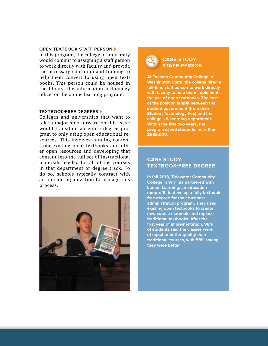#### **Open Textbook Staff Person**

In this program, the college or university would commit to assigning a staff person to work directly with faculty and provide the necessary education and training to help them convert to using open textbooks. This person could be housed in the library, the information technology office, or the online learning program.

#### **Textbook-Free Degrees**

Colleges and universities that want to take a major step forward on this issue would transition an entire degree program to only using open educational resources. This involves curating content from existing open textbooks and other open resources and developing that content into the full set of instructional materials needed for all of the courses in that department or degree track. To do so, schools typically contract with an outside organization to manage this process.



#### **Case study: Staff person**

**At Tacoma Community College in Washington State, the college hired a full-time staff person to work directly with faculty to help them implement the use of open textbooks. The cost of the position is split between the student government (from their Student Technology Fee) and the college's E-Learning department. Within the first two years, the program saved students more than \$635,000.**

#### **Case study: Textbook-free degree**

**In fall 2013, Tidewater Community College in Virginia partnered with Lumen Learning, an education nonprofit, to develop a fully textbookfree degree for their business administration program. They used existing open textbooks to create new course materials and replace traditional textbooks. After the first year of implementation, 98% of students said the classes were of equal or better quality than traditional courses, with 58% saying they were better.**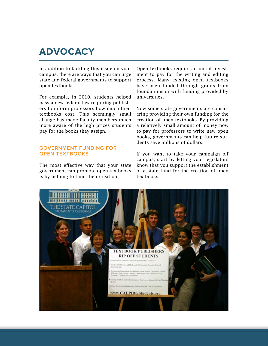### **Advocacy**

In addition to tackling this issue on your campus, there are ways that you can urge state and federal governments to support open textbooks.

For example, in 2010, students helped pass a new federal law requiring publishers to inform professors how much their textbooks cost. This seemingly small change has made faculty members much more aware of the high prices students pay for the books they assign.

#### **Government Funding for OPEN TEXTBOOKS**

The most effective way that your state government can promote open textbooks is by helping to fund their creation.

Open textbooks require an initial investment to pay for the writing and editing process. Many existing open textbooks have been funded through grants from foundations or with funding provided by universities.

Now some state governments are considering providing their own funding for the creation of open textbooks. By providing a relatively small amount of money now to pay for professors to write new open books, governments can help future students save millions of dollars.

If you want to take your campaign off campus, start by letting your legislators know that you support the establishment of a state fund for the creation of open textbooks.